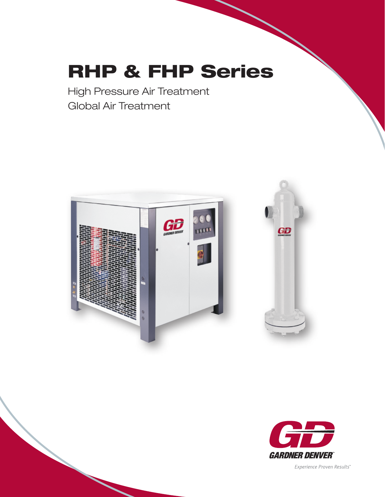# RHP & FHP Series

High Pressure Air Treatment Global Air Treatment





Experience Proven Results"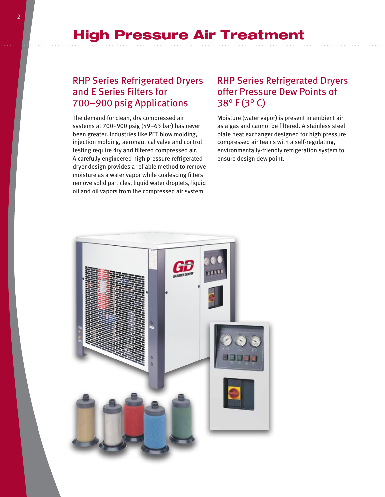## High Pressure Air Treatment

### RHP Series Refrigerated Dryers and E Series Filters for 700–900 psig Applications

The demand for clean, dry compressed air systems at 700–900 psig (49–63 bar) has never been greater. Industries like PET blow molding, injection molding, aeronautical valve and control testing require dry and filtered compressed air. A carefully engineered high pressure refrigerated dryer design provides a reliable method to remove moisture as a water vapor while coalescing filters remove solid particles, liquid water droplets, liquid oil and oil vapors from the compressed air system.

### RHP Series Refrigerated Dryers offer Pressure Dew Points of 38° F (3° C)

Moisture (water vapor) is present in ambient air as a gas and cannot be filtered. A stainless steel plate heat exchanger designed for high pressure compressed air teams with a self-regulating, environmentally-friendly refrigeration system to ensure design dew point.

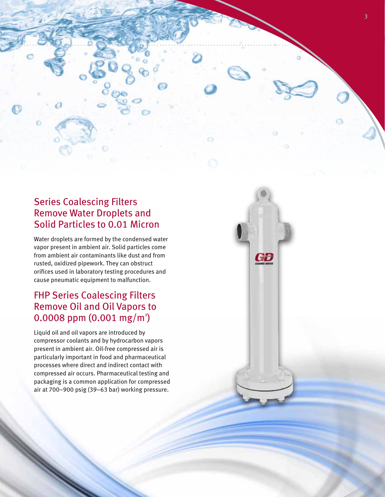

GB

### Series Coalescing Filters Remove Water Droplets and Solid Particles to 0.01 Micron

Water droplets are formed by the condensed water vapor present in ambient air. Solid particles come from ambient air contaminants like dust and from rusted, oxidized pipework. They can obstruct orifices used in laboratory testing procedures and cause pneumatic equipment to malfunction.

### FHP Series Coalescing Filters Remove Oil and Oil Vapors to  $0.0008$  ppm  $(0.001$  mg/m<sup>3</sup>)

Liquid oil and oil vapors are introduced by compressor coolants and by hydrocarbon vapors present in ambient air. Oil-free compressed air is particularly important in food and pharmaceutical processes where direct and indirect contact with compressed air occurs. Pharmaceutical testing and packaging is a common application for compressed air at 700–900 psig (39–63 bar) working pressure.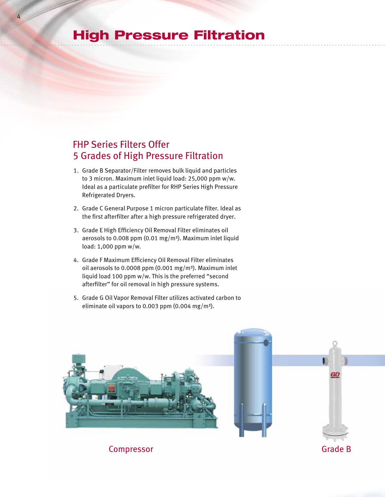# High Pressure Filtration

4

### FHP Series Filters Offer 5 Grades of High Pressure Filtration

- 1. Grade B Separator/Filter removes bulk liquid and particles to 3 micron. Maximum inlet liquid load: 25,000 ppm w/w. Ideal as a particulate prefilter for RHP Series High Pressure Refrigerated Dryers.
- 2. Grade C General Purpose 1 micron particulate filter. Ideal as the first afterfilter after a high pressure refrigerated dryer.
- 3. Grade E High Efficiency Oil Removal Filter eliminates oil aerosols to 0.008 ppm (0.01 mg/m<sup>3</sup>). Maximum inlet liquid load: 1,000 ppm w/w.
- 4. Grade F Maximum Efficiency Oil Removal Filter eliminates oil aerosols to 0.0008 ppm  $(0.001 \text{ mg/m}^3)$ . Maximum inlet liquid load 100 ppm w/w. This is the preferred "second afterfilter" for oil removal in high pressure systems.
- 5. Grade G Oil Vapor Removal Filter utilizes activated carbon to eliminate oil vapors to 0.003 ppm (0.004 mg/m<sup>3</sup>).



**Compressor** Grade B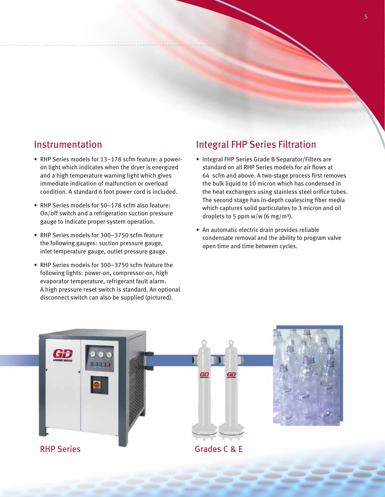### Instrumentation

- RHP Series models for 13-178 scfm feature: a poweron light which indicates when the dryer is energized and a high temperature warning light which gives immediate indication of malfunction or overload condition. A standard 6 foot power cord is included.
- RHP Series models for 50-178 scfm also feature: On/off switch and a refrigeration suction pressure gauge to indicate proper system operation.
- RHP Series models for 300-3750 scfm feature the following gauges: suction pressure gauge, inlet temperature gauge, outlet pressure gauge.
- RHP Series models for 300-3750 scfm feature the following lights: power-on, compressor-on, high evaporator temperature, refrigerant fault alarm. A high pressure reset switch is standard. An optional disconnect switch can also be supplied (pictured).

### Integral FHP Series Filtration

- Integral FHP Series Grade B Separator/Filters are standard on all RHP Series models for air flows at 64 scfm and above. A two-stage process first removes the bulk liquid to 10 micron which has condensed in the heat exchangers using stainless steel orifice tubes. The second stage has in-depth coalescing fiber media which captures solid particulates to 3 micron and oil droplets to 5 ppm w/w (6 mg/m<sup>3</sup>).
- An automatic electric drain provides reliable condensate removal and the ability to program valve open time and time between cycles.

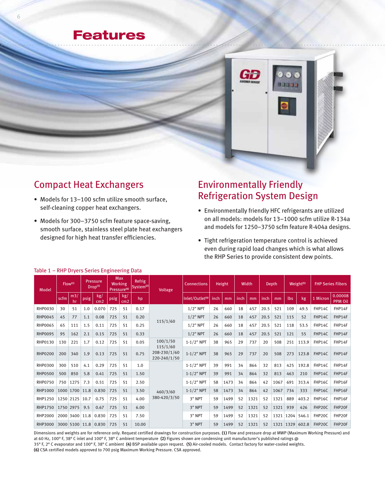



### Compact Heat Exchangers

- Models for 13-100 scfm utilize smooth surface, self-cleaning copper heat exchangers.
- Models for 300-3750 scfm feature space-saving, smooth surface, stainless steel plate heat exchangers designed for high heat transfer efficiencies.

### Environmentally Friendly Refrigeration System Design

- • Environmentally friendly HFC refrigerants are utilized on all models: models for 13–1000 scfm utilize R-134a and models for 1250–3750 scfm feature R-404a designs.
- Tight refrigeration temperature control is achieved even during rapid load changes which is what allows the RHP Series to provide consistent dew points.

| Model          | Flow <sup>(1)</sup> |           | <b>Max</b><br><b>Pressure</b><br><b>Working</b><br>Drop <sup>(1)</sup><br>Pressure <sup>(6)</sup> |                        | Refrig<br>System <sup>(2)</sup> | Voltage                | <b>Connections</b> | Height                                   |                             | Width |      | Depth. |      | Weight <sup>(5)</sup> |                 | <b>FHP Series Filters</b> |       |          |                           |
|----------------|---------------------|-----------|---------------------------------------------------------------------------------------------------|------------------------|---------------------------------|------------------------|--------------------|------------------------------------------|-----------------------------|-------|------|--------|------|-----------------------|-----------------|---------------------------|-------|----------|---------------------------|
|                | scfm                | m3/<br>hr | psig                                                                                              | kg/<br>cm <sub>2</sub> | psig                            | kg/<br>cm <sub>2</sub> | hp                 |                                          | Inlet/Outlet <sup>(4)</sup> | inch  | mm   | inch   | mm   | inch                  | $\overline{mm}$ | lbs                       | kg    | 1 Micron | 0.00008<br><b>PPM Oil</b> |
| <b>RHP0030</b> | 30                  | 51        | 1.0                                                                                               | 0.070                  | 725                             | 51                     | 0.17               |                                          | $1/2$ " NPT                 | 26    | 660  | 18     | 457  | 20.5                  | 521             | 109                       | 49.5  | FHP14C   | FHP14F                    |
| <b>RHP0045</b> | 45                  | 77        | 1.1                                                                                               | 0.08                   | 725                             | 51                     | 0.20               |                                          | $1/2$ " NPT                 | 26    | 660  | 18     | 457  | 20.5                  | 521             | 115                       | 52    | FHP14C   | FHP14F                    |
| <b>RHP0065</b> | 65                  | 111       | 1.5                                                                                               | 0.11                   | 725                             | 51                     | 0.25               | 115/1/60                                 | $1/2$ " NPT                 | 26    | 660  | 18     | 457  | 20.5                  | 521             | 118                       | 53.5  | FHP14C   | FHP14F                    |
| <b>RHP0095</b> | 95                  | 162       | 2.1                                                                                               | 0.15                   | 725                             | 51                     | 0.33               |                                          | $1/2$ " NPT                 | 26    | 660  | 18     | 457  | 20.5                  | 521             | 121                       | 55    | FHP14C   | FHP14F                    |
| <b>RHP0130</b> | 130                 | 221       | 1.7                                                                                               | 0.12                   | 725                             | 51                     | 0.05               | 100/1/50                                 | $1 - 1/2$ " NPT             | 38    | 965  | 29     | 737  | 20                    | 508             | 251                       | 113.9 | FHP14C   | FHP14F                    |
| <b>RHP0200</b> | 200                 | 340       | 1.9                                                                                               | 0.13                   | 725                             | 51                     | 0.75               | 115/1/60<br>208-230/1/60<br>220-240/1/50 | $1 - 1/2$ " NPT             | 38    | 965  | 29     | 737  | 20                    | 508             | 273                       | 123.8 | FHP14C   | FHP14F                    |
| <b>RHP0300</b> | 300                 | 510       | 4.1                                                                                               | 0.29                   | 725                             | 51                     | 1.0                |                                          | $1 - 1/2"$ NPT              | 39    | 991  | 34     | 864  | 32                    | 813             | 425                       | 192.8 | FHP14C   | FHP14F                    |
| <b>RHP0500</b> | 500                 | 850       | 5.8                                                                                               | 0.41                   | 725                             | 51                     | 1.50               |                                          | $1 - 1/2$ " NPT             | 39    | 991  | 34     | 864  | 32                    | 813             | 463                       | 210   | FHP14C   | FHP14F                    |
| <b>RHP0750</b> | 750                 | 1275      | 7.3                                                                                               | 0.51                   | 725                             | 51                     | 2.50               |                                          | $1 - 1/2"$ NPT              | 58    | 1473 | 34     | 864  | 42                    | 1067            | 691                       | 313.4 | FHP16C   | FHP16F                    |
| <b>RHP1000</b> | 1000                | 1700      | 11.8                                                                                              | 0.830                  | 725                             | 51                     | 3.50               | 460/3/60                                 | $1 - 1/2$ " NPT             | 58    | 1473 | 34     | 864  | 42                    | 1067            | 734                       | 333   | FHP16C   | FHP16F                    |
| <b>RHP1250</b> |                     | 1250 2125 | 10.7                                                                                              | 0.75                   | 725                             | 51                     | 4.00               | 380-420/3/50                             | 3" NPT                      | 59    | 1499 | 52     | 1321 | 52                    | 1321            | 889                       | 403.2 | FHP16C   | FHP16F                    |
| <b>RHP1750</b> | 1750 2975           |           | 9.5                                                                                               | 0.67                   | 725                             | 51                     | 6.00               |                                          | 3" NPT                      | 59    | 1499 | 52     | 1321 | 52                    | 1321            | 939                       | 426   | FHP20C   | FHP20F                    |
| <b>RHP2000</b> |                     | 2000 3400 | 11.8                                                                                              | 0.830                  | 725                             | 51                     | 7.50               |                                          | 3" NPT                      | 59    | 1499 | 52     | 1321 | 52                    | 1321            | 1204                      | 546.1 | FHP20C   | FHP20F                    |
| <b>RHP3000</b> | 3000                | 5100 11.8 |                                                                                                   | 0.830                  | 725                             | 51                     | 10.00              |                                          | 3" NPT                      | 59    | 1499 | 52     | 1321 | 52                    | 1321            | 1329                      | 602.8 | FHP20C   | FHP20F                    |

#### Table 1 – RHP Dryers Series Engineering Data

Dimensions and weights are for reference only. Request certified drawings for construction purposes. **(1)** Flow and pressure drop at MWP (Maximum Working Pressure) and at 60 Hz, 100° F, 38° C inlet and 100° F, 38° C ambient temperature **(2)** Figures shown are condensing unit manufacturer's published ratings @ 35° F, 2° C evaporator and 100° F, 38° C ambient **(4)** BSP available upon request. **(5)** Air-cooled models. Contact factory for water-cooled weights. **(6)** CSA certified models approved to 700 psig Maximum Working Pressure. CSA approved.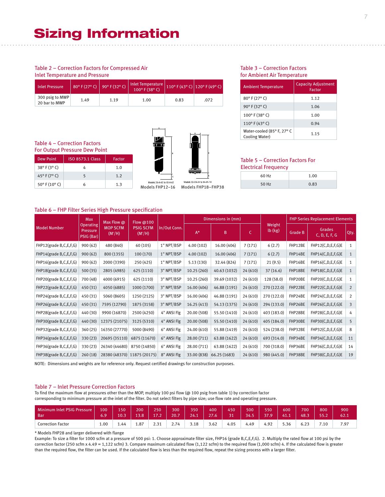#### Table 2 – Correction Factors for Compressed Air Inlet Temperature and Pressure

| <b>Inlet Pressure</b>            | 80° F (27° C)   90° F (32° C) <sup>1</sup> |      | Inlet Temperature<br>100° F (38° C) |      | $110^{\circ}$ F (43° C) 120° F (49° C) |
|----------------------------------|--------------------------------------------|------|-------------------------------------|------|----------------------------------------|
| 300 psig to MWP<br>20 bar to MWP | 1.49                                       | 1.19 | 1.00                                | 0.83 | .072                                   |

#### Table 4 – Correction Factors For Output Pressure Dew Point

| <b>Dew Point</b>       | <b>ISO 8573.1 Class</b> | Factor |
|------------------------|-------------------------|--------|
| $38^{\circ}$ F (3° C)  |                         | 1.0    |
| 45°F(7°C)              |                         | 1.2    |
| $50^{\circ}$ F (10° C) |                         | 1.3    |







Models FHP12–16 Models FHP18–FHP38

#### for Ambient Air Temperature Ambient Temperature Capacity Adjustment

Table 3 – Correction Factors

| <b>Ambient Temperature</b>                          | Capacity Aujustinent<br><b>Factor</b> |
|-----------------------------------------------------|---------------------------------------|
| 80°F (27°C)                                         | 1.12                                  |
| 90° F (32° C)                                       | 1.06                                  |
| 100° F (38° C)                                      | 1.00                                  |
| 110°F (43°C)                                        | 0.94                                  |
| Water-cooled (85° F, 27° C<br><b>Cooling Water)</b> | 1.15                                  |

#### Table 5 – Correction Factors For Electrical Frequency

| 60 Hz | 1.00 |
|-------|------|
| 50 Hz | 0.83 |

#### Table 6 – FHP Filter Series High Pressure specification

|                        | <b>Max</b>                                 | Max Flow @                   | Flow @100                     |              |             | Dimensions in (mm) |          |                         | <b>FHP Series Replacement Elements</b> |                                |                |  |  |
|------------------------|--------------------------------------------|------------------------------|-------------------------------|--------------|-------------|--------------------|----------|-------------------------|----------------------------------------|--------------------------------|----------------|--|--|
| <b>Model Number</b>    | <b>Operating</b><br>Pressure<br>PSIG (Bar) | <b>MOP SCFM</b><br>$(M^2/H)$ | <b>PSIG SCFM</b><br>$(M^2/H)$ | In/Out Conn. | $A^*$       | B                  | C.       | Weight<br>$lb$ ( $kg$ ) | <b>Grade B</b>                         | <b>Grades</b><br>C, D, E, F, G | Qty.           |  |  |
| FHP12(grade B,C,E,F,G) | 900(62)                                    | 480 (840)                    | 60 (105)                      | 1" NPT/BSP   | 4.00(102)   | 16.00 (406)        | 7(171)   | 6(2.7)                  | FHP12BE                                | FHP12(C,D,E,F,G)E              | 1              |  |  |
| FHP14(grade B,C,E,F,G) | 900(62)                                    | 800 (1355)                   | 100(170)                      | 1" NPT/BSP   | 4.00(102)   | 16.00 (406)        | 7(171)   | 6(2.7)                  | FHP14BE                                | FHP14(C,D,E,F,G)E              | 1              |  |  |
| FHP16(grade B,C,E,F,G) | 900(62)                                    | 2000 (3390)                  | 250 (425)                     | 1" NPT/BSP   | 5.13(130)   | 32.44 (824)        | 7(171)   | 21(9.5)                 | FHP16BE                                | FHP16(C,D,E,F,G)E              | 1              |  |  |
| FHP18(grade B,C,E,F,G) | 500 (35)                                   | 2805 (4985)                  | 625 (1110)                    | 3" NPT/BSP   | 10.25(260)  | 40.63 (1032)       | 24(610)  | 37(16.6)                | FHP18BE                                | FHP18(C,D,E,F,G)E              | $\mathbf{1}$   |  |  |
| FHP20(grade B,C,E,F,G) | 700 (48)                                   | 4000 (6915)                  | 625 (1110)                    | 3" NPT/BSP   | 10.25 (260) | 39.69 (1032)       | 24 (610) | 128 (58.0)              | FHP20BE                                | FHP20(C,D,E,F,G)E              | 1              |  |  |
| FHP22(grade B,C,E,F,G) | 450 (31)                                   | 4050 (6885)                  | 1000 (1700)                   | 3" NPT/BSP   | 16.00 (406) | 46.88 (1191)       | 24(610)  | 270 (122.0)             | FHP22BE                                | FHP22(C,D,E,F,G)E              | $\overline{2}$ |  |  |
| FHP24(grade B,C,E,F,G) | 450 (31)                                   | 5060 (8605)                  | 1250 (2125)                   | 3" NPT/BSP   | 16.00 (406) | 46.88 (1191)       | 24 (610) | 270 (122.0)             | FHP24BE                                | FHP24(C,D,E,F,G)E              | $\overline{2}$ |  |  |
| FHP26(grade B,C,E,F,G) | 450 (31)                                   | 7595 (12790)                 | 1875 (3158)                   | 3" NPT/BSP   | 16.25(413)  | 54.13 (1375)       | 24 (610) | 294 (133.0)             | FHP26BE                                | FHP26(C,D,E,F,G)E              | 3              |  |  |
| FHP28(grade B,C,E,F,G) | 440 (30)                                   | 9900 (16870)                 | 2500 (4250)                   | 4" ANSI Flg  | 20.00 (508) | 55.50 (1410)       | 24 (610) | 403 (183.0)             | FHP28BE                                | FHP28(C,D,E,F,G)E              | 4              |  |  |
| FHP30(grade B,C,E,F,G) | 440 (30)                                   | 12375 (21075)                | 3125 (5310)                   | 4" ANSI Flg  | 20.00 (508) | 55.50 (1410)       | 24(610)  | 405 (184.0)             | FHP30BE                                | FHP30(C,D,E,F,G)E              | 5              |  |  |
| FHP32(grade B,C,E,F,G) | 360(25)                                    | 16350 (27770)                | 5000 (8490)                   | 6" ANSI Flg  | 24.00 (610) | 55.88 (1419)       | 24 (610) | 524 (238.0)             | FHP32BE                                | FHP32(C,D,E,F,G)E              | 8              |  |  |
| FHP34(grade B,C,E,F,G) | 330(23)                                    | 20695 (35110)                | 6875 (11670)                  | 6" ANSI Flg  | 28.00 (711) | 63.88 (1622)       | 24(610)  | 693 (314.0)             | FHP34BE                                | FHP34(C,D,E,F,G)E              | 11             |  |  |
| FHP36(grade B,C,E,F,G) | 330 (23)                                   | 26340 (44680)                | 8750 (14850)                  | 6" ANSI Flg  | 28.00 (711) | 63.88 (1622)       | 24 (610) | 700 (318.0)             | FHP36BE                                | FHP36(C,D,E,F,G)E              | 14             |  |  |
| FHP38(grade B,C,E,F,G) | 260(18)                                    |                              | 28380 (48370) 11875 (20175)   | 8" ANSI Flg  | 33.00 (838) | 66.25 (1683)       | 24(610)  | 980 (445.0)             | FHP38BE                                | FHP38(C,D,E,F,G)E              | 19             |  |  |

NOTE: Dimensions and weights are for reference only. Request certified drawings for construction purposes.

#### Table 7 – Inlet Pressure Correction Factors

To find the maximum flow at pressures other than the MOP, multiply 100 psi flow (@ 100 psig from table 1) by correction factor corresponding to minimum pressure at the inlet of the filter. Do not select filters by pipe size; use flow rate and operating pressure.

| Minimum Inlet PSIG Pressure<br>Bar | 100<br>6.9 | 150<br>10.3 | 200<br>13.8 | 250<br>ィラ つ<br>$\cdot$ $\sim$ | 300<br>20.7 | 350<br>24.1 | 400<br>77<br>27.6 | 450<br>21 | 500<br>34. | 550<br>ה דכ | 600<br> | 700<br>48.3   | 800<br>にに つ<br>,,,, | 900<br>62.1 |
|------------------------------------|------------|-------------|-------------|-------------------------------|-------------|-------------|-------------------|-----------|------------|-------------|---------|---------------|---------------------|-------------|
| <b>Correction Factor</b>           | 00.1       | 44.ء        | 1.87        | 2.31                          | 2.74        | 3.18        | 3.62              | 4.05      | 4.49       | 4.92        | 5.36    | $6.2^{\circ}$ | $^{\prime}$ .10     | 7.97        |

\* Models FHP28 and larger delivered with flange

Example: To size a filter for 1000 scfm at a pressure of 500 psi: 1. Choose approximate filter size, FHP16 (grade B,C,E,F,G). 2. Multiply the rated flow at 100 psi by the correction factor (250 scfm x 4.49 = 1,122 scfm) 3. Compare maximum calculated flow (1,122 scfm) to the required flow (1,000 scfm) 4. If the calculated flow is greater than the required flow, the filter can be used. If the calculated flow is less than the required flow, repeat the sizing process with a larger filter.

7